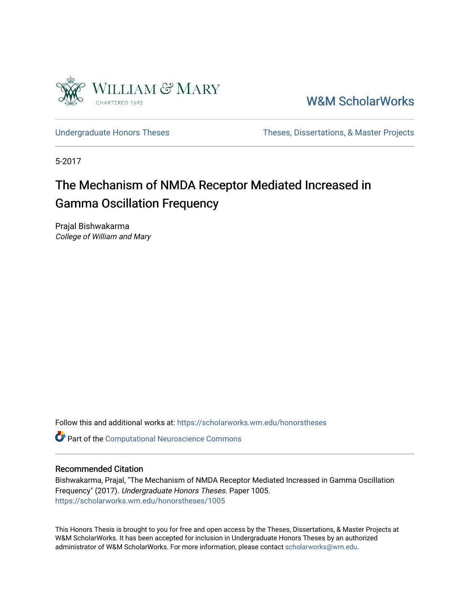

[W&M ScholarWorks](https://scholarworks.wm.edu/) 

[Undergraduate Honors Theses](https://scholarworks.wm.edu/honorstheses) Theses Theses, Dissertations, & Master Projects

5-2017

# The Mechanism of NMDA Receptor Mediated Increased in Gamma Oscillation Frequency

Prajal Bishwakarma College of William and Mary

Follow this and additional works at: [https://scholarworks.wm.edu/honorstheses](https://scholarworks.wm.edu/honorstheses?utm_source=scholarworks.wm.edu%2Fhonorstheses%2F1005&utm_medium=PDF&utm_campaign=PDFCoverPages) 

**Part of the Computational Neuroscience Commons** 

## Recommended Citation

Bishwakarma, Prajal, "The Mechanism of NMDA Receptor Mediated Increased in Gamma Oscillation Frequency" (2017). Undergraduate Honors Theses. Paper 1005. [https://scholarworks.wm.edu/honorstheses/1005](https://scholarworks.wm.edu/honorstheses/1005?utm_source=scholarworks.wm.edu%2Fhonorstheses%2F1005&utm_medium=PDF&utm_campaign=PDFCoverPages)

This Honors Thesis is brought to you for free and open access by the Theses, Dissertations, & Master Projects at W&M ScholarWorks. It has been accepted for inclusion in Undergraduate Honors Theses by an authorized administrator of W&M ScholarWorks. For more information, please contact [scholarworks@wm.edu.](mailto:scholarworks@wm.edu)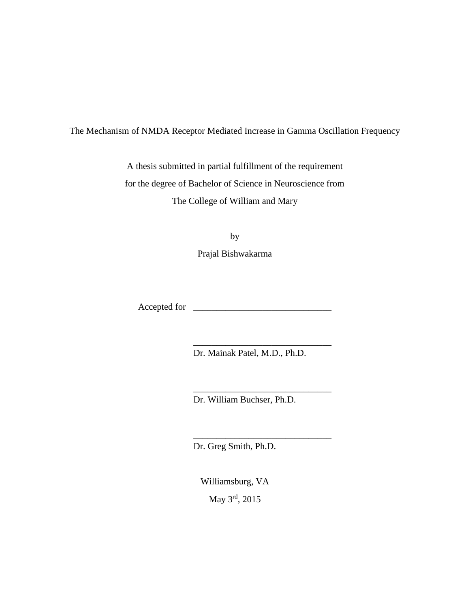The Mechanism of NMDA Receptor Mediated Increase in Gamma Oscillation Frequency

A thesis submitted in partial fulfillment of the requirement for the degree of Bachelor of Science in Neuroscience from The College of William and Mary

by

Prajal Bishwakarma

Accepted for \_\_\_\_\_\_\_\_\_\_\_\_\_\_\_\_\_\_\_\_\_\_\_\_\_\_\_\_\_\_

Dr. Mainak Patel, M.D., Ph.D.

\_\_\_\_\_\_\_\_\_\_\_\_\_\_\_\_\_\_\_\_\_\_\_\_\_\_\_\_\_\_

\_\_\_\_\_\_\_\_\_\_\_\_\_\_\_\_\_\_\_\_\_\_\_\_\_\_\_\_\_\_

\_\_\_\_\_\_\_\_\_\_\_\_\_\_\_\_\_\_\_\_\_\_\_\_\_\_\_\_\_\_

Dr. William Buchser, Ph.D.

Dr. Greg Smith, Ph.D.

Williamsburg, VA May 3rd, 2015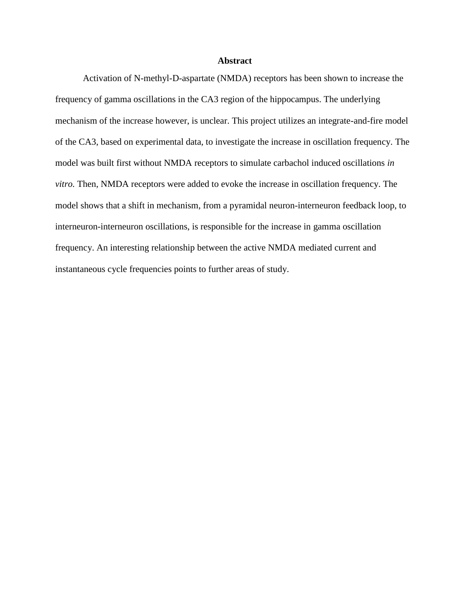## **Abstract**

Activation of N-methyl-D-aspartate (NMDA) receptors has been shown to increase the frequency of gamma oscillations in the CA3 region of the hippocampus. The underlying mechanism of the increase however, is unclear. This project utilizes an integrate-and-fire model of the CA3, based on experimental data, to investigate the increase in oscillation frequency. The model was built first without NMDA receptors to simulate carbachol induced oscillations *in vitro.* Then, NMDA receptors were added to evoke the increase in oscillation frequency. The model shows that a shift in mechanism, from a pyramidal neuron-interneuron feedback loop, to interneuron-interneuron oscillations, is responsible for the increase in gamma oscillation frequency. An interesting relationship between the active NMDA mediated current and instantaneous cycle frequencies points to further areas of study.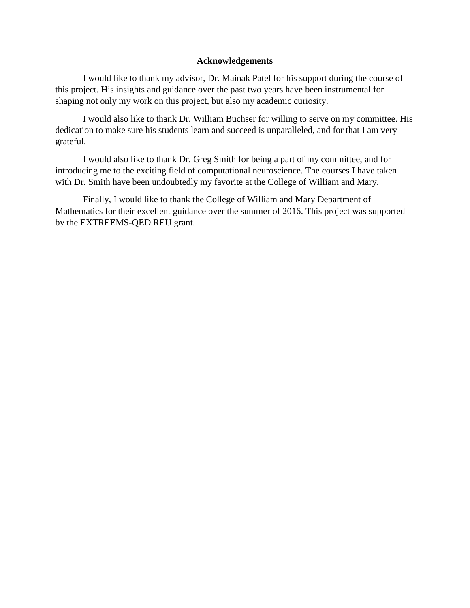# **Acknowledgements**

I would like to thank my advisor, Dr. Mainak Patel for his support during the course of this project. His insights and guidance over the past two years have been instrumental for shaping not only my work on this project, but also my academic curiosity.

I would also like to thank Dr. William Buchser for willing to serve on my committee. His dedication to make sure his students learn and succeed is unparalleled, and for that I am very grateful.

I would also like to thank Dr. Greg Smith for being a part of my committee, and for introducing me to the exciting field of computational neuroscience. The courses I have taken with Dr. Smith have been undoubtedly my favorite at the College of William and Mary.

Finally, I would like to thank the College of William and Mary Department of Mathematics for their excellent guidance over the summer of 2016. This project was supported by the EXTREEMS-QED REU grant.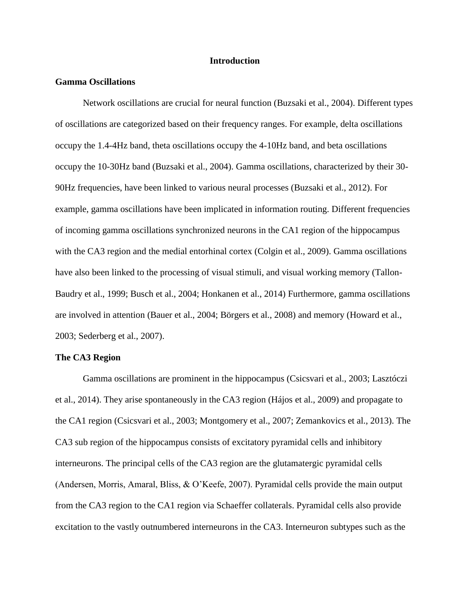## **Introduction**

## **Gamma Oscillations**

Network oscillations are crucial for neural function (Buzsaki et al., 2004). Different types of oscillations are categorized based on their frequency ranges. For example, delta oscillations occupy the 1.4-4Hz band, theta oscillations occupy the 4-10Hz band, and beta oscillations occupy the 10-30Hz band (Buzsaki et al., 2004). Gamma oscillations, characterized by their 30- 90Hz frequencies, have been linked to various neural processes (Buzsaki et al., 2012). For example, gamma oscillations have been implicated in information routing. Different frequencies of incoming gamma oscillations synchronized neurons in the CA1 region of the hippocampus with the CA3 region and the medial entorhinal cortex (Colgin et al., 2009). Gamma oscillations have also been linked to the processing of visual stimuli, and visual working memory (Tallon-Baudry et al., 1999; Busch et al., 2004; Honkanen et al., 2014) Furthermore, gamma oscillations are involved in attention (Bauer et al., 2004; Börgers et al., 2008) and memory (Howard et al., 2003; Sederberg et al., 2007).

## **The CA3 Region**

Gamma oscillations are prominent in the hippocampus (Csicsvari et al., 2003; Lasztóczi et al., 2014). They arise spontaneously in the CA3 region (Hájos et al., 2009) and propagate to the CA1 region (Csicsvari et al., 2003; Montgomery et al., 2007; Zemankovics et al., 2013). The CA3 sub region of the hippocampus consists of excitatory pyramidal cells and inhibitory interneurons. The principal cells of the CA3 region are the glutamatergic pyramidal cells (Andersen, Morris, Amaral, Bliss, & O'Keefe, 2007). Pyramidal cells provide the main output from the CA3 region to the CA1 region via Schaeffer collaterals. Pyramidal cells also provide excitation to the vastly outnumbered interneurons in the CA3. Interneuron subtypes such as the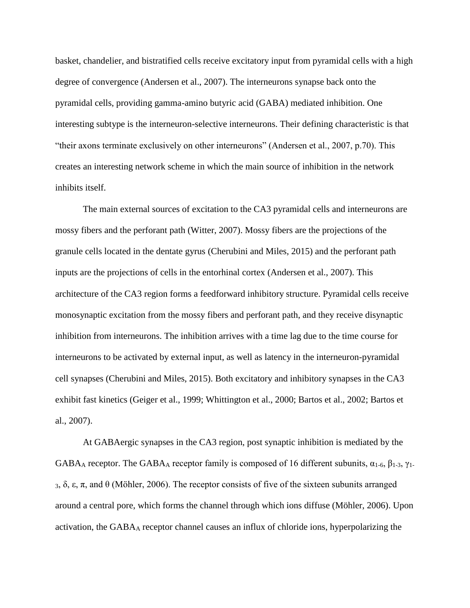basket, chandelier, and bistratified cells receive excitatory input from pyramidal cells with a high degree of convergence (Andersen et al., 2007). The interneurons synapse back onto the pyramidal cells, providing gamma-amino butyric acid (GABA) mediated inhibition. One interesting subtype is the interneuron-selective interneurons. Their defining characteristic is that "their axons terminate exclusively on other interneurons" (Andersen et al., 2007, p.70). This creates an interesting network scheme in which the main source of inhibition in the network inhibits itself.

The main external sources of excitation to the CA3 pyramidal cells and interneurons are mossy fibers and the perforant path (Witter, 2007). Mossy fibers are the projections of the granule cells located in the dentate gyrus (Cherubini and Miles, 2015) and the perforant path inputs are the projections of cells in the entorhinal cortex (Andersen et al., 2007). This architecture of the CA3 region forms a feedforward inhibitory structure. Pyramidal cells receive monosynaptic excitation from the mossy fibers and perforant path, and they receive disynaptic inhibition from interneurons. The inhibition arrives with a time lag due to the time course for interneurons to be activated by external input, as well as latency in the interneuron-pyramidal cell synapses (Cherubini and Miles, 2015). Both excitatory and inhibitory synapses in the CA3 exhibit fast kinetics (Geiger et al., 1999; Whittington et al., 2000; Bartos et al., 2002; Bartos et al., 2007).

At GABAergic synapses in the CA3 region, post synaptic inhibition is mediated by the GABA<sub>A</sub> receptor. The GABA<sub>A</sub> receptor family is composed of 16 different subunits,  $\alpha_{1-6}$ ,  $\beta_{1-3}$ ,  $\gamma_{1-2}$ <sup>3</sup>, δ, ε, π, and θ (Möhler, 2006). The receptor consists of five of the sixteen subunits arranged around a central pore, which forms the channel through which ions diffuse (Möhler, 2006). Upon activation, the GABA<sup>A</sup> receptor channel causes an influx of chloride ions, hyperpolarizing the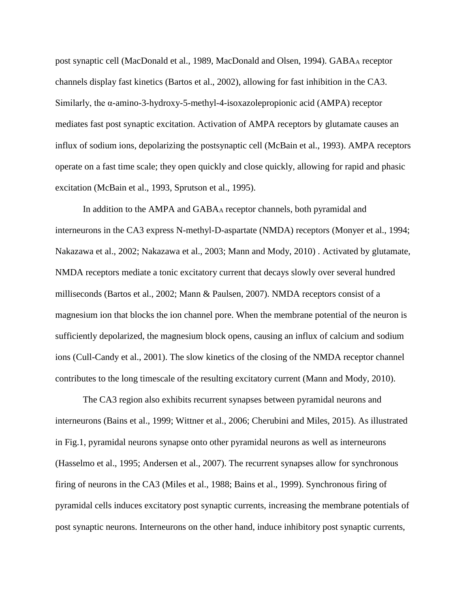post synaptic cell (MacDonald et al., 1989, MacDonald and Olsen, 1994). GABA<sub>A</sub> receptor channels display fast kinetics (Bartos et al., 2002), allowing for fast inhibition in the CA3. Similarly, the α-amino-3-hydroxy-5-methyl-4-isoxazolepropionic acid (AMPA) receptor mediates fast post synaptic excitation. Activation of AMPA receptors by glutamate causes an influx of sodium ions, depolarizing the postsynaptic cell (McBain et al., 1993). AMPA receptors operate on a fast time scale; they open quickly and close quickly, allowing for rapid and phasic excitation (McBain et al., 1993, Sprutson et al., 1995).

In addition to the AMPA and GABA<sub>A</sub> receptor channels, both pyramidal and interneurons in the CA3 express N-methyl-D-aspartate (NMDA) receptors (Monyer et al., 1994; Nakazawa et al., 2002; Nakazawa et al., 2003; Mann and Mody, 2010) . Activated by glutamate, NMDA receptors mediate a tonic excitatory current that decays slowly over several hundred milliseconds (Bartos et al., 2002; Mann & Paulsen, 2007). NMDA receptors consist of a magnesium ion that blocks the ion channel pore. When the membrane potential of the neuron is sufficiently depolarized, the magnesium block opens, causing an influx of calcium and sodium ions (Cull-Candy et al., 2001). The slow kinetics of the closing of the NMDA receptor channel contributes to the long timescale of the resulting excitatory current (Mann and Mody, 2010).

The CA3 region also exhibits recurrent synapses between pyramidal neurons and interneurons (Bains et al., 1999; Wittner et al., 2006; Cherubini and Miles, 2015). As illustrated in Fig.1, pyramidal neurons synapse onto other pyramidal neurons as well as interneurons (Hasselmo et al., 1995; Andersen et al., 2007). The recurrent synapses allow for synchronous firing of neurons in the CA3 (Miles et al., 1988; Bains et al., 1999). Synchronous firing of pyramidal cells induces excitatory post synaptic currents, increasing the membrane potentials of post synaptic neurons. Interneurons on the other hand, induce inhibitory post synaptic currents,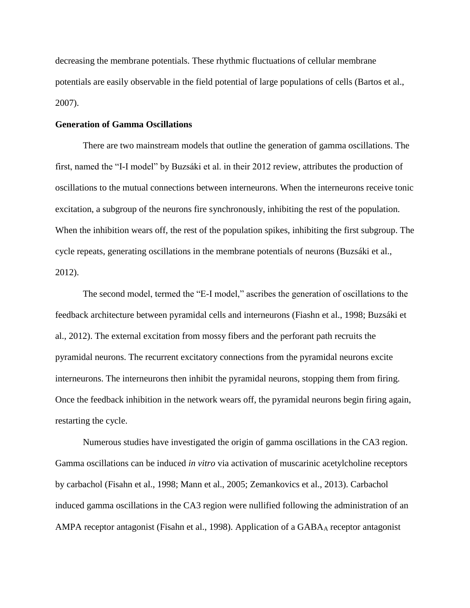decreasing the membrane potentials. These rhythmic fluctuations of cellular membrane potentials are easily observable in the field potential of large populations of cells (Bartos et al., 2007).

## **Generation of Gamma Oscillations**

There are two mainstream models that outline the generation of gamma oscillations. The first, named the "I-I model" by Buzsáki et al. in their 2012 review, attributes the production of oscillations to the mutual connections between interneurons. When the interneurons receive tonic excitation, a subgroup of the neurons fire synchronously, inhibiting the rest of the population. When the inhibition wears off, the rest of the population spikes, inhibiting the first subgroup. The cycle repeats, generating oscillations in the membrane potentials of neurons (Buzsáki et al., 2012).

The second model, termed the "E-I model," ascribes the generation of oscillations to the feedback architecture between pyramidal cells and interneurons (Fiashn et al., 1998; Buzsáki et al., 2012). The external excitation from mossy fibers and the perforant path recruits the pyramidal neurons. The recurrent excitatory connections from the pyramidal neurons excite interneurons. The interneurons then inhibit the pyramidal neurons, stopping them from firing. Once the feedback inhibition in the network wears off, the pyramidal neurons begin firing again, restarting the cycle.

Numerous studies have investigated the origin of gamma oscillations in the CA3 region. Gamma oscillations can be induced *in vitro* via activation of muscarinic acetylcholine receptors by carbachol (Fisahn et al., 1998; Mann et al., 2005; Zemankovics et al., 2013). Carbachol induced gamma oscillations in the CA3 region were nullified following the administration of an AMPA receptor antagonist (Fisahn et al., 1998). Application of a GABAA receptor antagonist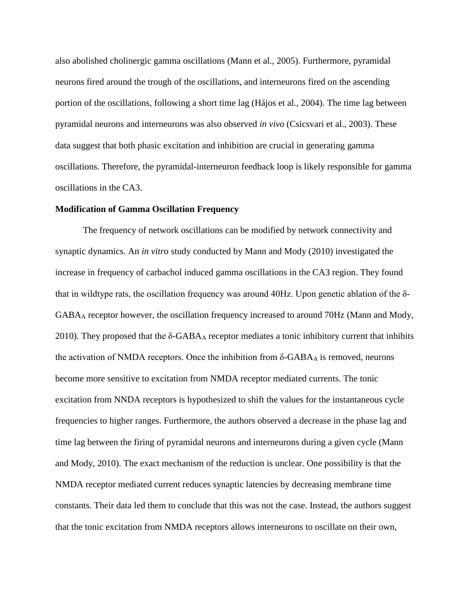also abolished cholinergic gamma oscillations (Mann et al., 2005). Furthermore, pyramidal neurons fired around the trough of the oscillations, and interneurons fired on the ascending portion of the oscillations, following a short time lag (Hájos et al., 2004). The time lag between pyramidal neurons and interneurons was also observed *in vivo* (Csicsvari et al., 2003). These data suggest that both phasic excitation and inhibition are crucial in generating gamma oscillations. Therefore, the pyramidal-interneuron feedback loop is likely responsible for gamma oscillations in the CA3.

## **Modification of Gamma Oscillation Frequency**

The frequency of network oscillations can be modified by network connectivity and synaptic dynamics. An *in vitro* study conducted by Mann and Mody (2010) investigated the increase in frequency of carbachol induced gamma oscillations in the CA3 region. They found that in wildtype rats, the oscillation frequency was around 40Hz. Upon genetic ablation of the δ-GABA<sup>A</sup> receptor however, the oscillation frequency increased to around 70Hz (Mann and Mody, 2010). They proposed that the  $\delta$ -GABA<sub>A</sub> receptor mediates a tonic inhibitory current that inhibits the activation of NMDA receptors. Once the inhibition from δ-GABA $_A$  is removed, neurons become more sensitive to excitation from NMDA receptor mediated currents. The tonic excitation from NNDA receptors is hypothesized to shift the values for the instantaneous cycle frequencies to higher ranges. Furthermore, the authors observed a decrease in the phase lag and time lag between the firing of pyramidal neurons and interneurons during a given cycle (Mann and Mody, 2010). The exact mechanism of the reduction is unclear. One possibility is that the NMDA receptor mediated current reduces synaptic latencies by decreasing membrane time constants. Their data led them to conclude that this was not the case. Instead, the authors suggest that the tonic excitation from NMDA receptors allows interneurons to oscillate on their own,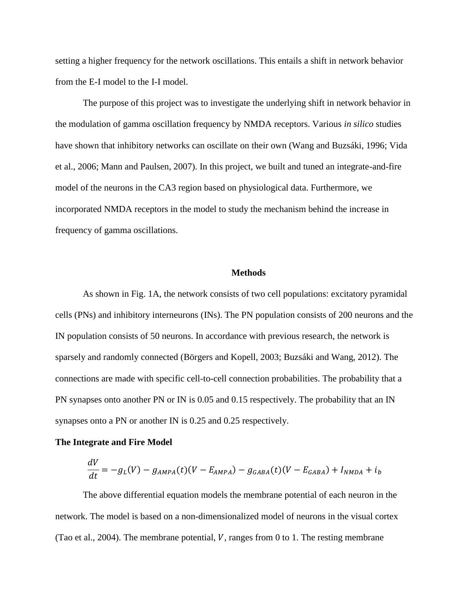setting a higher frequency for the network oscillations. This entails a shift in network behavior from the E-I model to the I-I model.

The purpose of this project was to investigate the underlying shift in network behavior in the modulation of gamma oscillation frequency by NMDA receptors. Various *in silico* studies have shown that inhibitory networks can oscillate on their own (Wang and Buzsáki, 1996; Vida et al., 2006; Mann and Paulsen, 2007). In this project, we built and tuned an integrate-and-fire model of the neurons in the CA3 region based on physiological data. Furthermore, we incorporated NMDA receptors in the model to study the mechanism behind the increase in frequency of gamma oscillations.

## **Methods**

As shown in Fig. 1A, the network consists of two cell populations: excitatory pyramidal cells (PNs) and inhibitory interneurons (INs). The PN population consists of 200 neurons and the IN population consists of 50 neurons. In accordance with previous research, the network is sparsely and randomly connected (Börgers and Kopell, 2003; Buzsáki and Wang, 2012). The connections are made with specific cell-to-cell connection probabilities. The probability that a PN synapses onto another PN or IN is 0.05 and 0.15 respectively. The probability that an IN synapses onto a PN or another IN is 0.25 and 0.25 respectively.

#### **The Integrate and Fire Model**

$$
\frac{dV}{dt} = -g_L(V) - g_{AMPA}(t)(V - E_{AMPA}) - g_{GABA}(t)(V - E_{GABA}) + I_{NMDA} + i_b
$$

The above differential equation models the membrane potential of each neuron in the network. The model is based on a non-dimensionalized model of neurons in the visual cortex (Tao et al., 2004). The membrane potential,  $V$ , ranges from 0 to 1. The resting membrane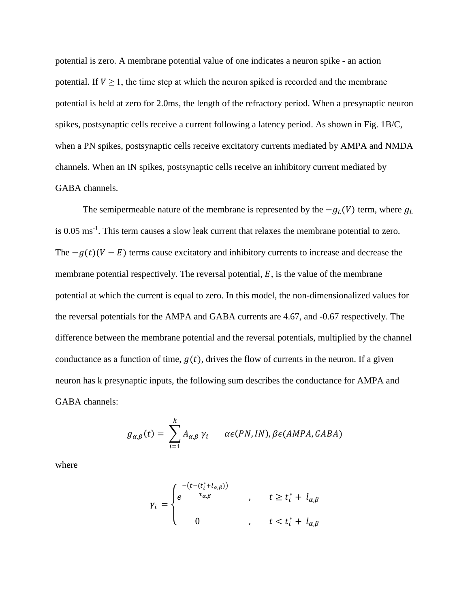potential is zero. A membrane potential value of one indicates a neuron spike - an action potential. If  $V \geq 1$ , the time step at which the neuron spiked is recorded and the membrane potential is held at zero for 2.0ms, the length of the refractory period. When a presynaptic neuron spikes, postsynaptic cells receive a current following a latency period. As shown in Fig. 1B/C, when a PN spikes, postsynaptic cells receive excitatory currents mediated by AMPA and NMDA channels. When an IN spikes, postsynaptic cells receive an inhibitory current mediated by GABA channels.

The semipermeable nature of the membrane is represented by the  $-g_L(V)$  term, where  $g_L$ is 0.05 ms<sup>-1</sup>. This term causes a slow leak current that relaxes the membrane potential to zero. The  $-g(t)(V - E)$  terms cause excitatory and inhibitory currents to increase and decrease the membrane potential respectively. The reversal potential,  $E$ , is the value of the membrane potential at which the current is equal to zero. In this model, the non-dimensionalized values for the reversal potentials for the AMPA and GABA currents are 4.67, and -0.67 respectively. The difference between the membrane potential and the reversal potentials, multiplied by the channel conductance as a function of time,  $q(t)$ , drives the flow of currents in the neuron. If a given neuron has k presynaptic inputs, the following sum describes the conductance for AMPA and GABA channels:

$$
g_{\alpha,\beta}(t) = \sum_{i=1}^{k} A_{\alpha,\beta} \gamma_i \qquad \alpha \in (PN, IN), \beta \in (AMPA, GABA)
$$

where

$$
\gamma_i = \begin{cases} e^{\frac{-(t - (t_i^* + l_{\alpha,\beta}))}{\tau_{\alpha,\beta}}} & , & t \geq t_i^* + l_{\alpha,\beta} \\ 0 & , & t < t_i^* + l_{\alpha,\beta} \end{cases}
$$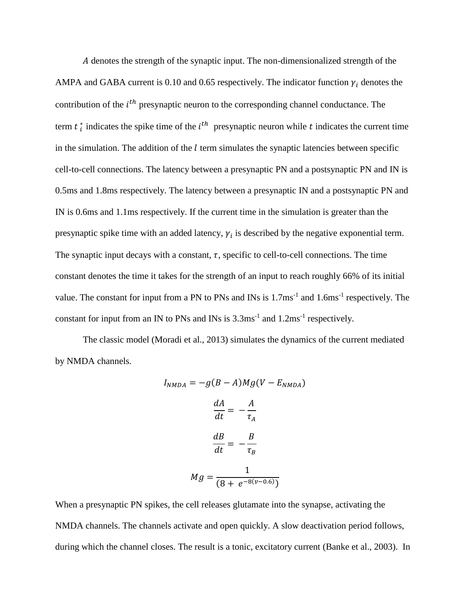denotes the strength of the synaptic input. The non-dimensionalized strength of the AMPA and GABA current is 0.10 and 0.65 respectively. The indicator function  $\gamma_i$  denotes the contribution of the  $i^{th}$  presynaptic neuron to the corresponding channel conductance. The term  $t_i^*$  indicates the spike time of the  $i^{th}$  presynaptic neuron while  $t$  indicates the current time in the simulation. The addition of the  $l$  term simulates the synaptic latencies between specific cell-to-cell connections. The latency between a presynaptic PN and a postsynaptic PN and IN is 0.5ms and 1.8ms respectively. The latency between a presynaptic IN and a postsynaptic PN and IN is 0.6ms and 1.1ms respectively. If the current time in the simulation is greater than the presynaptic spike time with an added latency,  $\gamma_i$  is described by the negative exponential term. The synaptic input decays with a constant,  $\tau$ , specific to cell-to-cell connections. The time constant denotes the time it takes for the strength of an input to reach roughly 66% of its initial value. The constant for input from a PN to PNs and INs is  $1.7 \text{ms}^{-1}$  and  $1.6 \text{ms}^{-1}$  respectively. The constant for input from an IN to PNs and INs is  $3.3 \text{ms}^{-1}$  and  $1.2 \text{ms}^{-1}$  respectively.

The classic model (Moradi et al., 2013) simulates the dynamics of the current mediated by NMDA channels.

$$
I_{NMDA} = -g(B - A)Mg(V - E_{NMDA})
$$

$$
\frac{dA}{dt} = -\frac{A}{\tau_A}
$$

$$
\frac{dB}{dt} = -\frac{B}{\tau_B}
$$

$$
Mg = \frac{1}{(8 + e^{-8(v - 0.6)})}
$$

When a presynaptic PN spikes, the cell releases glutamate into the synapse, activating the NMDA channels. The channels activate and open quickly. A slow deactivation period follows, during which the channel closes. The result is a tonic, excitatory current (Banke et al., 2003). In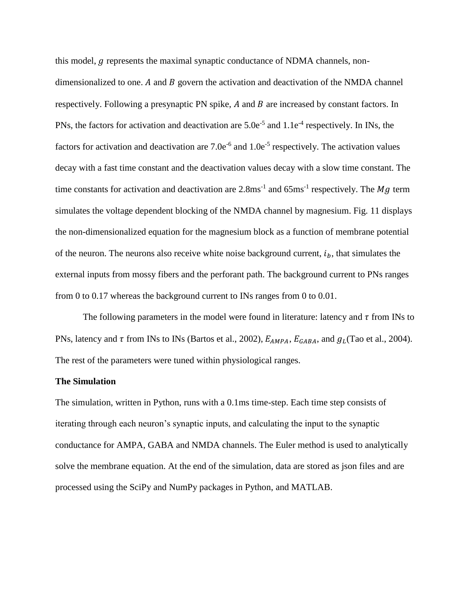this model,  $q$  represents the maximal synaptic conductance of NDMA channels, nondimensionalized to one. A and  $B$  govern the activation and deactivation of the NMDA channel respectively. Following a presynaptic PN spike,  $A$  and  $B$  are increased by constant factors. In PNs, the factors for activation and deactivation are  $5.0e^{-5}$  and  $1.1e^{-4}$  respectively. In INs, the factors for activation and deactivation are  $7.0e^{-6}$  and  $1.0e^{-5}$  respectively. The activation values decay with a fast time constant and the deactivation values decay with a slow time constant. The time constants for activation and deactivation are  $2.8 \text{ms}^{-1}$  and  $65 \text{ms}^{-1}$  respectively. The Mg term simulates the voltage dependent blocking of the NMDA channel by magnesium. Fig. 11 displays the non-dimensionalized equation for the magnesium block as a function of membrane potential of the neuron. The neurons also receive white noise background current,  $i<sub>b</sub>$ , that simulates the external inputs from mossy fibers and the perforant path. The background current to PNs ranges from 0 to 0.17 whereas the background current to INs ranges from 0 to 0.01.

The following parameters in the model were found in literature: latency and  $\tau$  from INs to PNs, latency and  $\tau$  from INs to INs (Bartos et al., 2002),  $E_{AMPA}$ ,  $E_{GABA}$ , and  $g_L$ (Tao et al., 2004). The rest of the parameters were tuned within physiological ranges.

# **The Simulation**

The simulation, written in Python, runs with a 0.1ms time-step. Each time step consists of iterating through each neuron's synaptic inputs, and calculating the input to the synaptic conductance for AMPA, GABA and NMDA channels. The Euler method is used to analytically solve the membrane equation. At the end of the simulation, data are stored as json files and are processed using the SciPy and NumPy packages in Python, and MATLAB.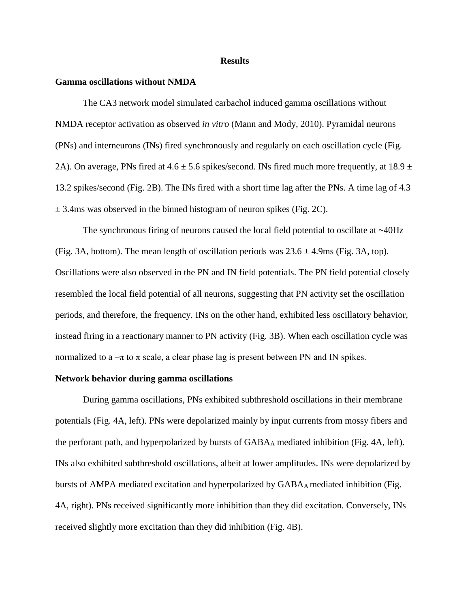#### **Results**

## **Gamma oscillations without NMDA**

The CA3 network model simulated carbachol induced gamma oscillations without NMDA receptor activation as observed *in vitro* (Mann and Mody, 2010). Pyramidal neurons (PNs) and interneurons (INs) fired synchronously and regularly on each oscillation cycle (Fig. 2A). On average, PNs fired at  $4.6 \pm 5.6$  spikes/second. INs fired much more frequently, at  $18.9 \pm$ 13.2 spikes/second (Fig. 2B). The INs fired with a short time lag after the PNs. A time lag of 4.3  $\pm$  3.4ms was observed in the binned histogram of neuron spikes (Fig. 2C).

The synchronous firing of neurons caused the local field potential to oscillate at  $\sim$ 40Hz (Fig. 3A, bottom). The mean length of oscillation periods was  $23.6 \pm 4.9$ ms (Fig. 3A, top). Oscillations were also observed in the PN and IN field potentials. The PN field potential closely resembled the local field potential of all neurons, suggesting that PN activity set the oscillation periods, and therefore, the frequency. INs on the other hand, exhibited less oscillatory behavior, instead firing in a reactionary manner to PN activity (Fig. 3B). When each oscillation cycle was normalized to  $a - \pi$  to  $\pi$  scale, a clear phase lag is present between PN and IN spikes.

## **Network behavior during gamma oscillations**

During gamma oscillations, PNs exhibited subthreshold oscillations in their membrane potentials (Fig. 4A, left). PNs were depolarized mainly by input currents from mossy fibers and the perforant path, and hyperpolarized by bursts of GABA<sup>A</sup> mediated inhibition (Fig. 4A, left). INs also exhibited subthreshold oscillations, albeit at lower amplitudes. INs were depolarized by bursts of AMPA mediated excitation and hyperpolarized by GABA<sub>A</sub> mediated inhibition (Fig. 4A, right). PNs received significantly more inhibition than they did excitation. Conversely, INs received slightly more excitation than they did inhibition (Fig. 4B).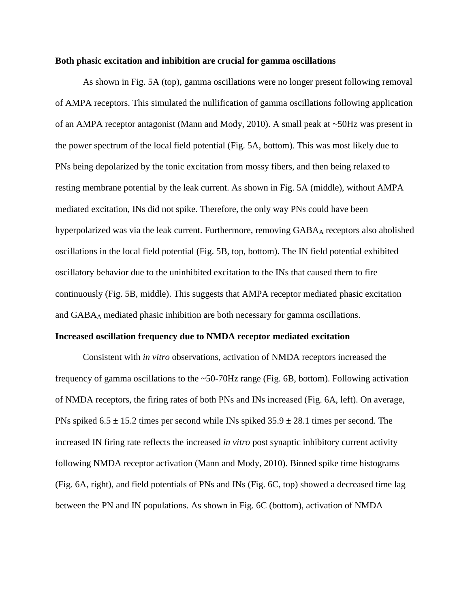## **Both phasic excitation and inhibition are crucial for gamma oscillations**

As shown in Fig. 5A (top), gamma oscillations were no longer present following removal of AMPA receptors. This simulated the nullification of gamma oscillations following application of an AMPA receptor antagonist (Mann and Mody, 2010). A small peak at ~50Hz was present in the power spectrum of the local field potential (Fig. 5A, bottom). This was most likely due to PNs being depolarized by the tonic excitation from mossy fibers, and then being relaxed to resting membrane potential by the leak current. As shown in Fig. 5A (middle), without AMPA mediated excitation, INs did not spike. Therefore, the only way PNs could have been hyperpolarized was via the leak current. Furthermore, removing GABAA receptors also abolished oscillations in the local field potential (Fig. 5B, top, bottom). The IN field potential exhibited oscillatory behavior due to the uninhibited excitation to the INs that caused them to fire continuously (Fig. 5B, middle). This suggests that AMPA receptor mediated phasic excitation and GABA<sup>A</sup> mediated phasic inhibition are both necessary for gamma oscillations.

#### **Increased oscillation frequency due to NMDA receptor mediated excitation**

Consistent with *in vitro* observations, activation of NMDA receptors increased the frequency of gamma oscillations to the ~50-70Hz range (Fig. 6B, bottom). Following activation of NMDA receptors, the firing rates of both PNs and INs increased (Fig. 6A, left). On average, PNs spiked  $6.5 \pm 15.2$  times per second while INs spiked  $35.9 \pm 28.1$  times per second. The increased IN firing rate reflects the increased *in vitro* post synaptic inhibitory current activity following NMDA receptor activation (Mann and Mody, 2010). Binned spike time histograms (Fig. 6A, right), and field potentials of PNs and INs (Fig. 6C, top) showed a decreased time lag between the PN and IN populations. As shown in Fig. 6C (bottom), activation of NMDA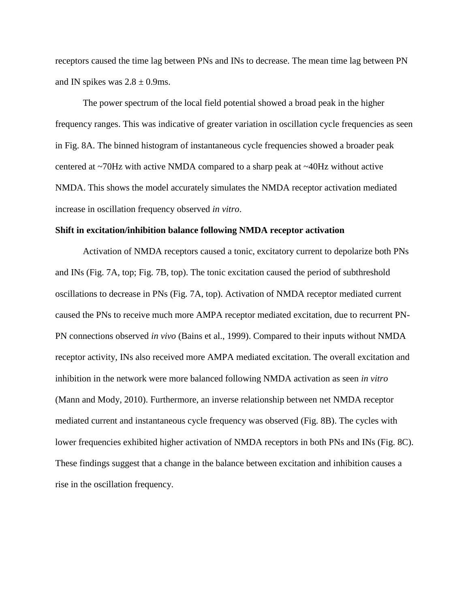receptors caused the time lag between PNs and INs to decrease. The mean time lag between PN and IN spikes was  $2.8 \pm 0.9$ ms.

The power spectrum of the local field potential showed a broad peak in the higher frequency ranges. This was indicative of greater variation in oscillation cycle frequencies as seen in Fig. 8A. The binned histogram of instantaneous cycle frequencies showed a broader peak centered at ~70Hz with active NMDA compared to a sharp peak at ~40Hz without active NMDA. This shows the model accurately simulates the NMDA receptor activation mediated increase in oscillation frequency observed *in vitro*.

## **Shift in excitation/inhibition balance following NMDA receptor activation**

Activation of NMDA receptors caused a tonic, excitatory current to depolarize both PNs and INs (Fig. 7A, top; Fig. 7B, top). The tonic excitation caused the period of subthreshold oscillations to decrease in PNs (Fig. 7A, top). Activation of NMDA receptor mediated current caused the PNs to receive much more AMPA receptor mediated excitation, due to recurrent PN-PN connections observed *in vivo* (Bains et al., 1999). Compared to their inputs without NMDA receptor activity, INs also received more AMPA mediated excitation. The overall excitation and inhibition in the network were more balanced following NMDA activation as seen *in vitro*  (Mann and Mody, 2010). Furthermore, an inverse relationship between net NMDA receptor mediated current and instantaneous cycle frequency was observed (Fig. 8B). The cycles with lower frequencies exhibited higher activation of NMDA receptors in both PNs and INs (Fig. 8C). These findings suggest that a change in the balance between excitation and inhibition causes a rise in the oscillation frequency.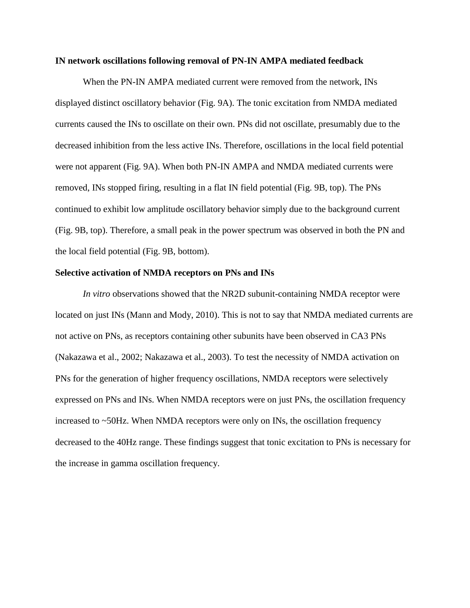## **IN network oscillations following removal of PN-IN AMPA mediated feedback**

When the PN-IN AMPA mediated current were removed from the network, INs displayed distinct oscillatory behavior (Fig. 9A). The tonic excitation from NMDA mediated currents caused the INs to oscillate on their own. PNs did not oscillate, presumably due to the decreased inhibition from the less active INs. Therefore, oscillations in the local field potential were not apparent (Fig. 9A). When both PN-IN AMPA and NMDA mediated currents were removed, INs stopped firing, resulting in a flat IN field potential (Fig. 9B, top). The PNs continued to exhibit low amplitude oscillatory behavior simply due to the background current (Fig. 9B, top). Therefore, a small peak in the power spectrum was observed in both the PN and the local field potential (Fig. 9B, bottom).

## **Selective activation of NMDA receptors on PNs and INs**

*In vitro* observations showed that the NR2D subunit-containing NMDA receptor were located on just INs (Mann and Mody, 2010). This is not to say that NMDA mediated currents are not active on PNs, as receptors containing other subunits have been observed in CA3 PNs (Nakazawa et al., 2002; Nakazawa et al., 2003). To test the necessity of NMDA activation on PNs for the generation of higher frequency oscillations, NMDA receptors were selectively expressed on PNs and INs. When NMDA receptors were on just PNs, the oscillation frequency increased to ~50Hz. When NMDA receptors were only on INs, the oscillation frequency decreased to the 40Hz range. These findings suggest that tonic excitation to PNs is necessary for the increase in gamma oscillation frequency.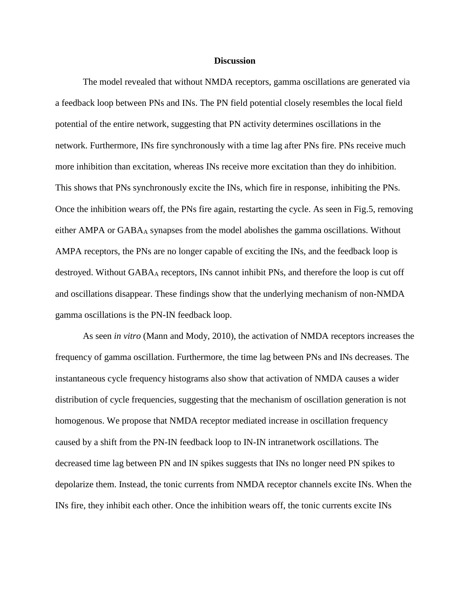## **Discussion**

The model revealed that without NMDA receptors, gamma oscillations are generated via a feedback loop between PNs and INs. The PN field potential closely resembles the local field potential of the entire network, suggesting that PN activity determines oscillations in the network. Furthermore, INs fire synchronously with a time lag after PNs fire. PNs receive much more inhibition than excitation, whereas INs receive more excitation than they do inhibition. This shows that PNs synchronously excite the INs, which fire in response, inhibiting the PNs. Once the inhibition wears off, the PNs fire again, restarting the cycle. As seen in Fig.5, removing either AMPA or GABAA synapses from the model abolishes the gamma oscillations. Without AMPA receptors, the PNs are no longer capable of exciting the INs, and the feedback loop is destroyed. Without GABA<sup>A</sup> receptors, INs cannot inhibit PNs, and therefore the loop is cut off and oscillations disappear. These findings show that the underlying mechanism of non-NMDA gamma oscillations is the PN-IN feedback loop.

As seen *in vitro* (Mann and Mody, 2010), the activation of NMDA receptors increases the frequency of gamma oscillation. Furthermore, the time lag between PNs and INs decreases. The instantaneous cycle frequency histograms also show that activation of NMDA causes a wider distribution of cycle frequencies, suggesting that the mechanism of oscillation generation is not homogenous. We propose that NMDA receptor mediated increase in oscillation frequency caused by a shift from the PN-IN feedback loop to IN-IN intranetwork oscillations. The decreased time lag between PN and IN spikes suggests that INs no longer need PN spikes to depolarize them. Instead, the tonic currents from NMDA receptor channels excite INs. When the INs fire, they inhibit each other. Once the inhibition wears off, the tonic currents excite INs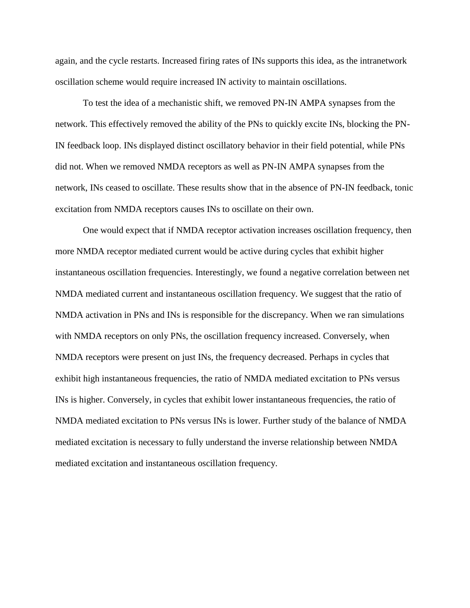again, and the cycle restarts. Increased firing rates of INs supports this idea, as the intranetwork oscillation scheme would require increased IN activity to maintain oscillations.

To test the idea of a mechanistic shift, we removed PN-IN AMPA synapses from the network. This effectively removed the ability of the PNs to quickly excite INs, blocking the PN-IN feedback loop. INs displayed distinct oscillatory behavior in their field potential, while PNs did not. When we removed NMDA receptors as well as PN-IN AMPA synapses from the network, INs ceased to oscillate. These results show that in the absence of PN-IN feedback, tonic excitation from NMDA receptors causes INs to oscillate on their own.

One would expect that if NMDA receptor activation increases oscillation frequency, then more NMDA receptor mediated current would be active during cycles that exhibit higher instantaneous oscillation frequencies. Interestingly, we found a negative correlation between net NMDA mediated current and instantaneous oscillation frequency. We suggest that the ratio of NMDA activation in PNs and INs is responsible for the discrepancy. When we ran simulations with NMDA receptors on only PNs, the oscillation frequency increased. Conversely, when NMDA receptors were present on just INs, the frequency decreased. Perhaps in cycles that exhibit high instantaneous frequencies, the ratio of NMDA mediated excitation to PNs versus INs is higher. Conversely, in cycles that exhibit lower instantaneous frequencies, the ratio of NMDA mediated excitation to PNs versus INs is lower. Further study of the balance of NMDA mediated excitation is necessary to fully understand the inverse relationship between NMDA mediated excitation and instantaneous oscillation frequency.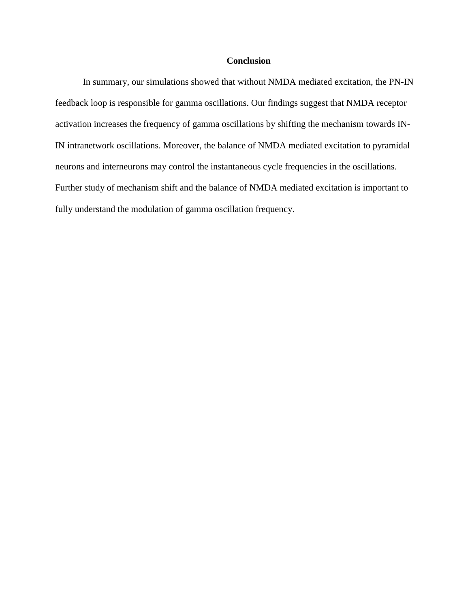# **Conclusion**

In summary, our simulations showed that without NMDA mediated excitation, the PN-IN feedback loop is responsible for gamma oscillations. Our findings suggest that NMDA receptor activation increases the frequency of gamma oscillations by shifting the mechanism towards IN-IN intranetwork oscillations. Moreover, the balance of NMDA mediated excitation to pyramidal neurons and interneurons may control the instantaneous cycle frequencies in the oscillations. Further study of mechanism shift and the balance of NMDA mediated excitation is important to fully understand the modulation of gamma oscillation frequency.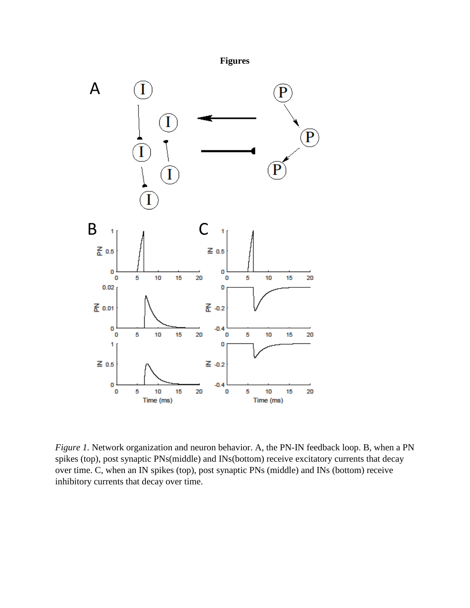



*Figure 1.* Network organization and neuron behavior. A, the PN-IN feedback loop. B, when a PN spikes (top), post synaptic PNs(middle) and INs(bottom) receive excitatory currents that decay over time. C, when an IN spikes (top), post synaptic PNs (middle) and INs (bottom) receive inhibitory currents that decay over time.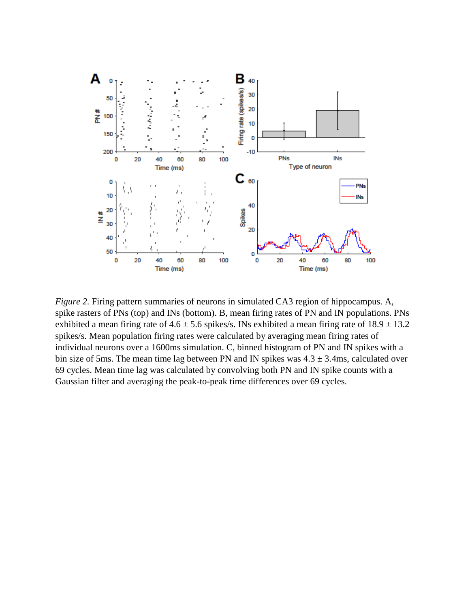

*Figure 2.* Firing pattern summaries of neurons in simulated CA3 region of hippocampus. A, spike rasters of PNs (top) and INs (bottom). B, mean firing rates of PN and IN populations. PNs exhibited a mean firing rate of  $4.6 \pm 5.6$  spikes/s. INs exhibited a mean firing rate of  $18.9 \pm 13.2$ spikes/s. Mean population firing rates were calculated by averaging mean firing rates of individual neurons over a 1600ms simulation. C, binned histogram of PN and IN spikes with a bin size of 5ms. The mean time lag between PN and IN spikes was  $4.3 \pm 3.4$ ms, calculated over 69 cycles. Mean time lag was calculated by convolving both PN and IN spike counts with a Gaussian filter and averaging the peak-to-peak time differences over 69 cycles.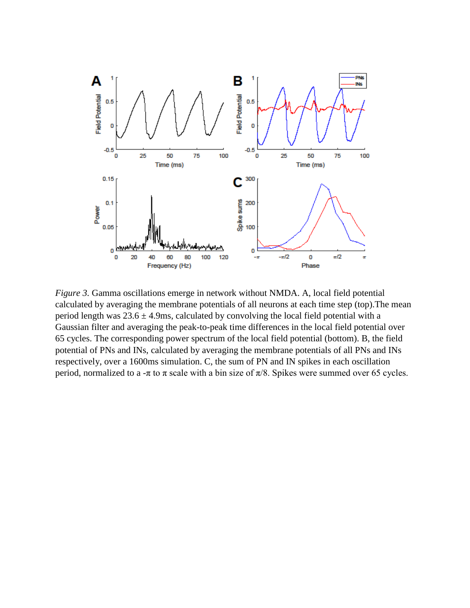

*Figure 3.* Gamma oscillations emerge in network without NMDA. A, local field potential calculated by averaging the membrane potentials of all neurons at each time step (top).The mean period length was  $23.6 \pm 4.9$ ms, calculated by convolving the local field potential with a Gaussian filter and averaging the peak-to-peak time differences in the local field potential over 65 cycles. The corresponding power spectrum of the local field potential (bottom). B, the field potential of PNs and INs, calculated by averaging the membrane potentials of all PNs and INs respectively, over a 1600ms simulation. C, the sum of PN and IN spikes in each oscillation period, normalized to a -π to π scale with a bin size of  $π/8$ . Spikes were summed over 65 cycles.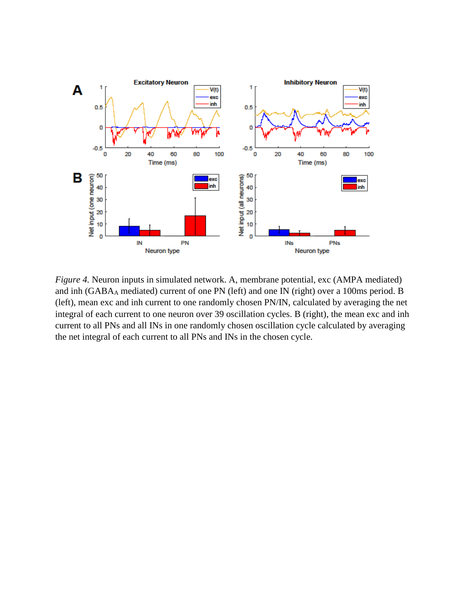

*Figure 4.* Neuron inputs in simulated network. A, membrane potential, exc (AMPA mediated) and inh (GABA<sup>A</sup> mediated) current of one PN (left) and one IN (right) over a 100ms period. B (left), mean exc and inh current to one randomly chosen PN/IN, calculated by averaging the net integral of each current to one neuron over 39 oscillation cycles. B (right), the mean exc and inh current to all PNs and all INs in one randomly chosen oscillation cycle calculated by averaging the net integral of each current to all PNs and INs in the chosen cycle.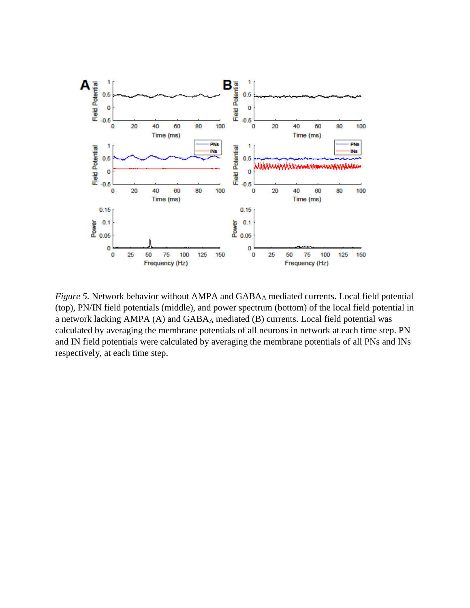

*Figure 5.* Network behavior without AMPA and GABA<sub>A</sub> mediated currents. Local field potential (top), PN/IN field potentials (middle), and power spectrum (bottom) of the local field potential in a network lacking AMPA (A) and GABA<sup>A</sup> mediated (B) currents. Local field potential was calculated by averaging the membrane potentials of all neurons in network at each time step. PN and IN field potentials were calculated by averaging the membrane potentials of all PNs and INs respectively, at each time step.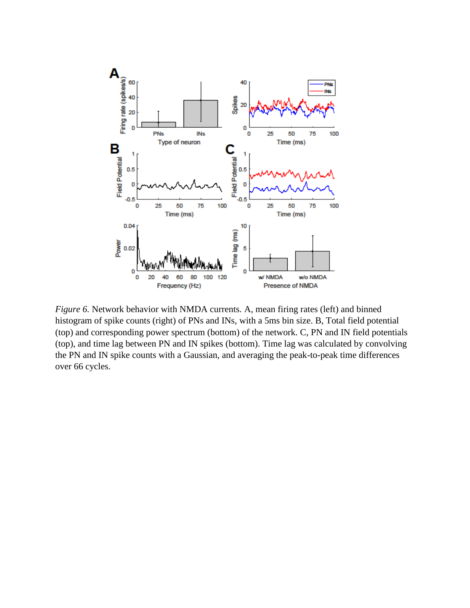

*Figure 6.* Network behavior with NMDA currents. A, mean firing rates (left) and binned histogram of spike counts (right) of PNs and INs, with a 5ms bin size. B, Total field potential (top) and corresponding power spectrum (bottom) of the network. C, PN and IN field potentials (top), and time lag between PN and IN spikes (bottom). Time lag was calculated by convolving the PN and IN spike counts with a Gaussian, and averaging the peak-to-peak time differences over 66 cycles.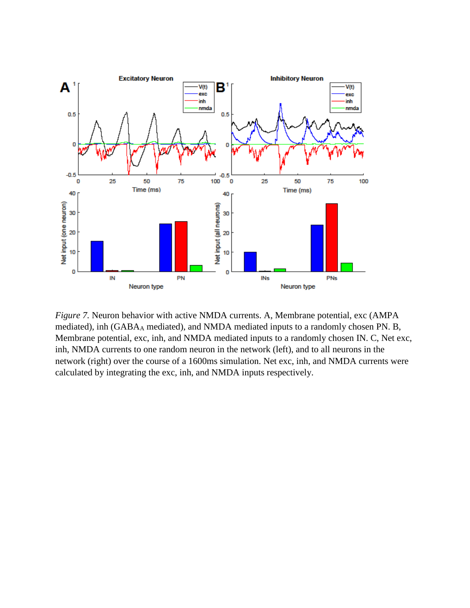

*Figure 7.* Neuron behavior with active NMDA currents. A, Membrane potential, exc (AMPA mediated), inh (GABAA mediated), and NMDA mediated inputs to a randomly chosen PN. B, Membrane potential, exc, inh, and NMDA mediated inputs to a randomly chosen IN. C, Net exc, inh, NMDA currents to one random neuron in the network (left), and to all neurons in the network (right) over the course of a 1600ms simulation. Net exc, inh, and NMDA currents were calculated by integrating the exc, inh, and NMDA inputs respectively.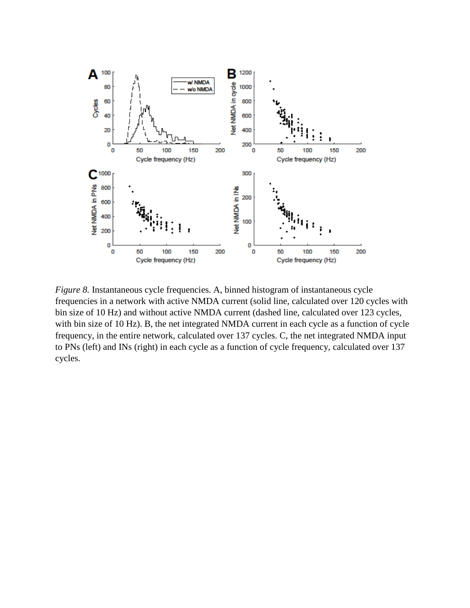

*Figure 8.* Instantaneous cycle frequencies. A, binned histogram of instantaneous cycle frequencies in a network with active NMDA current (solid line, calculated over 120 cycles with bin size of 10 Hz) and without active NMDA current (dashed line, calculated over 123 cycles, with bin size of 10 Hz). B, the net integrated NMDA current in each cycle as a function of cycle frequency, in the entire network, calculated over 137 cycles. C, the net integrated NMDA input to PNs (left) and INs (right) in each cycle as a function of cycle frequency, calculated over 137 cycles.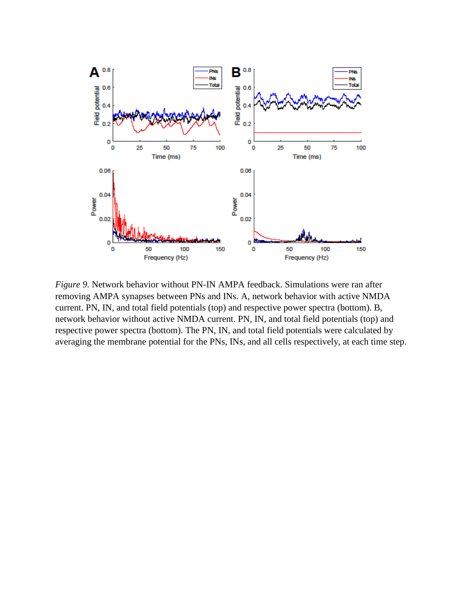

*Figure 9.* Network behavior without PN-IN AMPA feedback. Simulations were ran after removing AMPA synapses between PNs and INs. A, network behavior with active NMDA current. PN, IN, and total field potentials (top) and respective power spectra (bottom). B, network behavior without active NMDA current. PN, IN, and total field potentials (top) and respective power spectra (bottom). The PN, IN, and total field potentials were calculated by averaging the membrane potential for the PNs, INs, and all cells respectively, at each time step.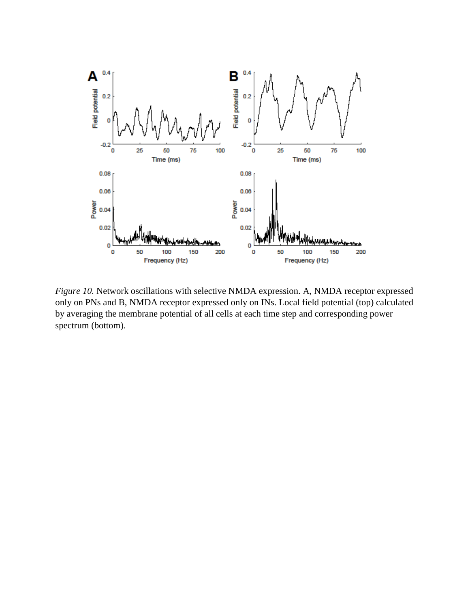

*Figure 10.* Network oscillations with selective NMDA expression. A, NMDA receptor expressed only on PNs and B, NMDA receptor expressed only on INs. Local field potential (top) calculated by averaging the membrane potential of all cells at each time step and corresponding power spectrum (bottom).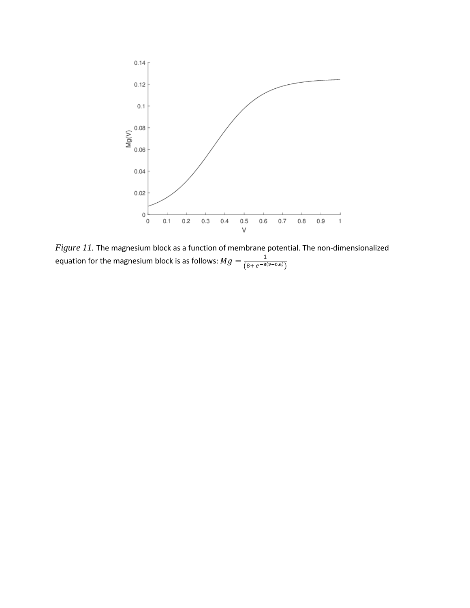

*Figure 11.* The magnesium block as a function of membrane potential. The non-dimensionalized equation for the magnesium block is as follows:  $Mg = \frac{1}{(8 + 6^{-80})^2}$  $(8+e^{-8(\nu-0.6)})$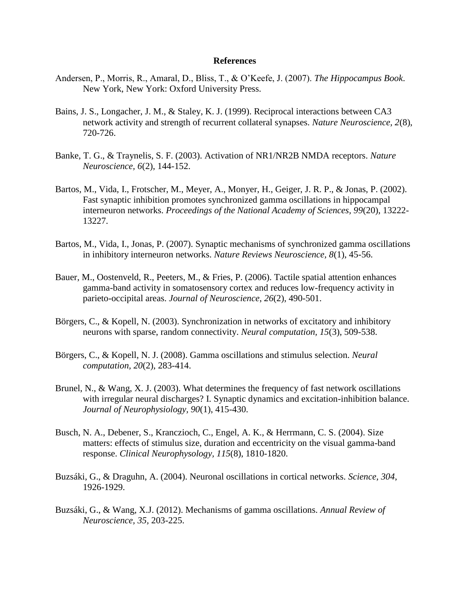## **References**

- Andersen, P., Morris, R., Amaral, D., Bliss, T., & O'Keefe, J. (2007). *The Hippocampus Book*. New York, New York: Oxford University Press.
- Bains, J. S., Longacher, J. M., & Staley, K. J. (1999). Reciprocal interactions between CA3 network activity and strength of recurrent collateral synapses. *Nature Neuroscience, 2*(8), 720-726.
- Banke, T. G., & Traynelis, S. F. (2003). Activation of NR1/NR2B NMDA receptors. *Nature Neuroscience, 6*(2), 144-152.
- Bartos, M., Vida, I., Frotscher, M., Meyer, A., Monyer, H., Geiger, J. R. P., & Jonas, P. (2002). Fast synaptic inhibition promotes synchronized gamma oscillations in hippocampal interneuron networks. *Proceedings of the National Academy of Sciences, 99*(20), 13222- 13227.
- Bartos, M., Vida, I., Jonas, P. (2007). Synaptic mechanisms of synchronized gamma oscillations in inhibitory interneuron networks. *Nature Reviews Neuroscience, 8*(1), 45-56.
- Bauer, M., Oostenveld, R., Peeters, M., & Fries, P. (2006). Tactile spatial attention enhances gamma-band activity in somatosensory cortex and reduces low-frequency activity in parieto-occipital areas. *Journal of Neuroscience*, *26*(2), 490-501.
- Börgers, C., & Kopell, N. (2003). Synchronization in networks of excitatory and inhibitory neurons with sparse, random connectivity. *Neural computation, 15*(3), 509-538.
- Börgers, C., & Kopell, N. J. (2008). Gamma oscillations and stimulus selection. *Neural computation, 20*(2), 283-414.
- Brunel, N., & Wang, X. J. (2003). What determines the frequency of fast network oscillations with irregular neural discharges? I. Synaptic dynamics and excitation-inhibition balance. *Journal of Neurophysiology, 90*(1), 415-430.
- Busch, N. A., Debener, S., Kranczioch, C., Engel, A. K., & Herrmann, C. S. (2004). Size matters: effects of stimulus size, duration and eccentricity on the visual gamma-band response. *Clinical Neurophysology, 115*(8), 1810-1820.
- Buzsáki, G., & Draguhn, A. (2004). Neuronal oscillations in cortical networks. *Science, 304*, 1926-1929.
- Buzsáki, G., & Wang, X.J. (2012). Mechanisms of gamma oscillations. *Annual Review of Neuroscience, 35,* 203-225.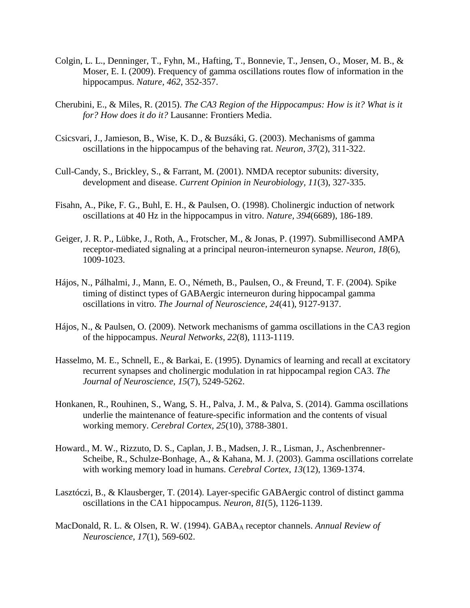- Colgin, L. L., Denninger, T., Fyhn, M., Hafting, T., Bonnevie, T., Jensen, O., Moser, M. B., & Moser, E. I. (2009). Frequency of gamma oscillations routes flow of information in the hippocampus. *Nature, 462*, 352-357.
- Cherubini, E., & Miles, R. (2015). *The CA3 Region of the Hippocampus: How is it? What is it for? How does it do it?* Lausanne: Frontiers Media.
- Csicsvari, J., Jamieson, B., Wise, K. D., & Buzsáki, G. (2003). Mechanisms of gamma oscillations in the hippocampus of the behaving rat. *Neuron*, *37*(2), 311-322.
- Cull-Candy, S., Brickley, S., & Farrant, M. (2001). NMDA receptor subunits: diversity, development and disease. *Current Opinion in Neurobiology, 11*(3), 327-335.
- Fisahn, A., Pike, F. G., Buhl, E. H., & Paulsen, O. (1998). Cholinergic induction of network oscillations at 40 Hz in the hippocampus in vitro. *Nature, 394*(6689), 186-189.
- Geiger, J. R. P., Lübke, J., Roth, A., Frotscher, M., & Jonas, P. (1997). Submillisecond AMPA receptor-mediated signaling at a principal neuron-interneuron synapse. *Neuron, 18*(6), 1009-1023.
- Hájos, N., Pálhalmi, J., Mann, E. O., Németh, B., Paulsen, O., & Freund, T. F. (2004). Spike timing of distinct types of GABAergic interneuron during hippocampal gamma oscillations in vitro. *The Journal of Neuroscience, 24*(41), 9127-9137.
- Hájos, N., & Paulsen, O. (2009). Network mechanisms of gamma oscillations in the CA3 region of the hippocampus. *Neural Networks*, *22*(8), 1113-1119.
- Hasselmo, M. E., Schnell, E., & Barkai, E. (1995). Dynamics of learning and recall at excitatory recurrent synapses and cholinergic modulation in rat hippocampal region CA3. *The Journal of Neuroscience, 15*(7), 5249-5262.
- Honkanen, R., Rouhinen, S., Wang, S. H., Palva, J. M., & Palva, S. (2014). Gamma oscillations underlie the maintenance of feature-specific information and the contents of visual working memory. *Cerebral Cortex, 25*(10), 3788-3801.
- Howard., M. W., Rizzuto, D. S., Caplan, J. B., Madsen, J. R., Lisman, J., Aschenbrenner-Scheibe, R., Schulze-Bonhage, A., & Kahana, M. J. (2003). Gamma oscillations correlate with working memory load in humans. *Cerebral Cortex, 13*(12), 1369-1374.
- Lasztóczi, B., & Klausberger, T. (2014). Layer-specific GABAergic control of distinct gamma oscillations in the CA1 hippocampus. *Neuron*, *81*(5), 1126-1139.
- MacDonald, R. L. & Olsen, R. W. (1994). GABA<sup>A</sup> receptor channels. *Annual Review of Neuroscience, 17*(1), 569-602.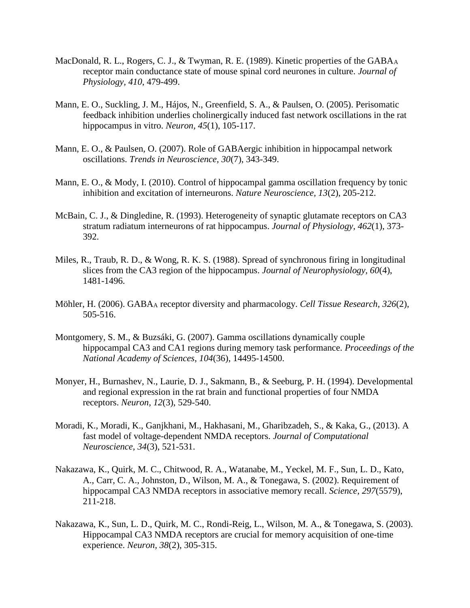- MacDonald, R. L., Rogers, C. J., & Twyman, R. E. (1989). Kinetic properties of the  $GABA_A$ receptor main conductance state of mouse spinal cord neurones in culture. *Journal of Physiology, 410*, 479-499.
- Mann, E. O., Suckling, J. M., Hájos, N., Greenfield, S. A., & Paulsen, O. (2005). Perisomatic feedback inhibition underlies cholinergically induced fast network oscillations in the rat hippocampus in vitro. *Neuron, 45*(1), 105-117.
- Mann, E. O., & Paulsen, O. (2007). Role of GABAergic inhibition in hippocampal network oscillations. *Trends in Neuroscience, 30*(7), 343-349.
- Mann, E. O., & Mody, I. (2010). Control of hippocampal gamma oscillation frequency by tonic inhibition and excitation of interneurons. *Nature Neuroscience, 13*(2), 205-212.
- McBain, C. J., & Dingledine, R. (1993). Heterogeneity of synaptic glutamate receptors on CA3 stratum radiatum interneurons of rat hippocampus. *Journal of Physiology, 462*(1), 373- 392.
- Miles, R., Traub, R. D., & Wong, R. K. S. (1988). Spread of synchronous firing in longitudinal slices from the CA3 region of the hippocampus. *Journal of Neurophysiology, 60*(4), 1481-1496.
- Möhler, H. (2006). GABA<sup>A</sup> receptor diversity and pharmacology. *Cell Tissue Research, 326*(2), 505-516.
- Montgomery, S. M., & Buzsáki, G. (2007). Gamma oscillations dynamically couple hippocampal CA3 and CA1 regions during memory task performance. *Proceedings of the National Academy of Sciences*, *104*(36), 14495-14500.
- Monyer, H., Burnashev, N., Laurie, D. J., Sakmann, B., & Seeburg, P. H. (1994). Developmental and regional expression in the rat brain and functional properties of four NMDA receptors. *Neuron, 12*(3), 529-540.
- Moradi, K., Moradi, K., Ganjkhani, M., Hakhasani, M., Gharibzadeh, S., & Kaka, G., (2013). A fast model of voltage-dependent NMDA receptors. *Journal of Computational Neuroscience, 34*(3), 521-531.
- Nakazawa, K., Quirk, M. C., Chitwood, R. A., Watanabe, M., Yeckel, M. F., Sun, L. D., Kato, A., Carr, C. A., Johnston, D., Wilson, M. A., & Tonegawa, S. (2002). Requirement of hippocampal CA3 NMDA receptors in associative memory recall. *Science, 297*(5579), 211-218.
- Nakazawa, K., Sun, L. D., Quirk, M. C., Rondi-Reig, L., Wilson, M. A., & Tonegawa, S. (2003). Hippocampal CA3 NMDA receptors are crucial for memory acquisition of one-time experience. *Neuron, 38*(2), 305-315.